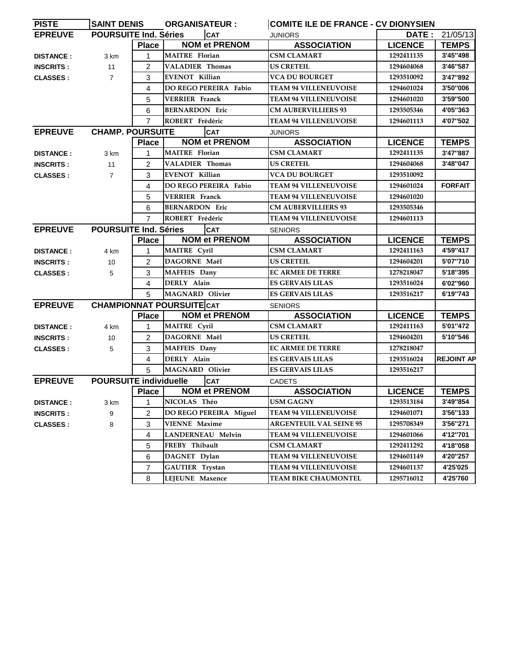| <b>PISTE</b>     | <b>SAINT DENIS</b>            |                | <b>ORGANISATEUR:</b>             | <b>COMITE ILE DE FRANCE - CV DIONYSIEN</b> |                |                       |
|------------------|-------------------------------|----------------|----------------------------------|--------------------------------------------|----------------|-----------------------|
| <b>EPREUVE</b>   | <b>POURSUITE Ind. Séries</b>  |                | <b>CAT</b>                       | <b>JUNIORS</b>                             |                | <b>DATE: 21/05/13</b> |
|                  |                               | <b>Place</b>   | <b>NOM et PRENOM</b>             | <b>ASSOCIATION</b>                         | <b>LICENCE</b> | <b>TEMPS</b>          |
| <b>DISTANCE:</b> | 3 km                          |                | <b>MAITRE</b> Florian            | <b>CSM CLAMART</b>                         | 1292411135     | 3'45"498              |
| <b>INSCRITS:</b> | 11                            | $\overline{c}$ | <b>VALADIER Thomas</b>           | <b>US CRETEIL</b>                          | 1294604068     | 3'46"587              |
| <b>CLASSES:</b>  | $\overline{7}$                | 3              | <b>EVENOT Killian</b>            | <b>VCA DU BOURGET</b>                      | 1293510092     | 3'47"892              |
|                  |                               | 4              | DO REGO PEREIRA Fabio            | <b>TEAM 94 VILLENEUVOISE</b>               | 1294601024     | 3'50"006              |
|                  |                               | 5              | <b>VERRIER</b> Franck            | <b>TEAM 94 VILLENEUVOISE</b>               | 1294601020     | 3'59"500              |
|                  |                               | 6              | <b>BERNARDON Eric</b>            | <b>CM AUBERVILLIERS 93</b>                 | 1293505346     | 4'05"363              |
|                  |                               | $\overline{7}$ | ROBERT Frédéric                  | <b>TEAM 94 VILLENEUVOISE</b>               | 1294601113     | 4'07"502              |
| <b>EPREUVE</b>   | <b>CHAMP. POURSUITE</b>       |                | <b>CAT</b>                       | <b>JUNIORS</b>                             |                |                       |
|                  |                               | <b>Place</b>   | <b>NOM et PRENOM</b>             | <b>ASSOCIATION</b>                         | <b>LICENCE</b> | <b>TEMPS</b>          |
| <b>DISTANCE:</b> | 3 km                          | 1              | <b>MAITRE</b> Florian            | <b>CSM CLAMART</b>                         | 1292411135     | 3'47"887              |
| <b>INSCRITS:</b> | 11                            | $\overline{2}$ | <b>VALADIER Thomas</b>           | <b>US CRETEIL</b>                          | 1294604068     | 3'48"047              |
| <b>CLASSES:</b>  | $\overline{7}$                | 3              | <b>EVENOT Killian</b>            | <b>VCA DU BOURGET</b>                      | 1293510092     |                       |
|                  |                               | 4              | DO REGO PEREIRA Fabio            | <b>TEAM 94 VILLENEUVOISE</b>               | 1294601024     | <b>FORFAIT</b>        |
|                  |                               | 5              | <b>VERRIER</b> Franck            | TEAM 94 VILLENEUVOISE                      | 1294601020     |                       |
|                  |                               | 6              | <b>BERNARDON Eric</b>            | <b>CM AUBERVILLIERS 93</b>                 | 1293505346     |                       |
|                  |                               | $\overline{7}$ | ROBERT Frédéric                  | <b>TEAM 94 VILLENEUVOISE</b>               | 1294601113     |                       |
| <b>EPREUVE</b>   | <b>POURSUITE Ind. Séries</b>  |                | <b>CAT</b>                       | <b>SENIORS</b>                             |                |                       |
|                  |                               | <b>Place</b>   | <b>NOM et PRENOM</b>             | <b>ASSOCIATION</b>                         | <b>LICENCE</b> | <b>TEMPS</b>          |
| <b>DISTANCE:</b> | 4 km                          |                | <b>MAITRE</b> Cyril              | <b>CSM CLAMART</b>                         | 1292411163     | 4'59"417              |
| <b>INSCRITS:</b> | 10                            | 2              | DAGORNE Maël                     | <b>US CRETEIL</b>                          | 1294604201     | 5'07"710              |
| <b>CLASSES:</b>  | 5                             | 3              | MAFFEIS Dany                     | <b>EC ARMEE DE TERRE</b>                   | 1278218047     | 5'18"395              |
|                  |                               | 4              | DERLY Alain                      | <b>ES GERVAIS LILAS</b>                    | 1293516024     | 6'02"960              |
|                  |                               | 5              | MAGNARD Olivier                  | <b>ES GERVAIS LILAS</b>                    | 1293516217     | 6'19"743              |
| <b>EPREUVE</b>   |                               |                | <b>CHAMPIONNAT POURSUITE CAT</b> | <b>SENIORS</b>                             |                |                       |
|                  |                               | <b>Place</b>   | <b>NOM et PRENOM</b>             | <b>ASSOCIATION</b>                         | <b>LICENCE</b> | <b>TEMPS</b>          |
| <b>DISTANCE:</b> | 4 km                          | 1              | MAITRE Cyril                     | <b>CSM CLAMART</b>                         | 1292411163     | 5'01"472              |
| <b>INSCRITS:</b> | 10                            | $\overline{2}$ | DAGORNE Maël                     | <b>US CRETEIL</b>                          | 1294604201     | 5'10"546              |
| <b>CLASSES:</b>  | 5                             | 3              | <b>MAFFEIS</b> Dany              | <b>EC ARMEE DE TERRE</b>                   | 1278218047     |                       |
|                  |                               | 4              | DERLY Alain                      | <b>ES GERVAIS LILAS</b>                    | 1293516024     | <b>REJOINT AP</b>     |
|                  |                               | 5              | MAGNARD Olivier                  | <b>ES GERVAIS LILAS</b>                    | 1293516217     |                       |
| <b>EPREUVE</b>   | <b>POURSUITE individuelle</b> |                | <b>CAT</b>                       | <b>CADETS</b>                              |                |                       |
|                  |                               | Place          | <b>NOM et PRENOM</b>             | <b>ASSOCIATION</b>                         | <b>LICENCE</b> | <b>TEMPS</b>          |
| <b>DISTANCE:</b> | 3 km                          | 1              | NICOLAS Théo                     | <b>USM GAGNY</b>                           | 1293513184     | 3'49"854              |
| <b>INSCRITS:</b> | 9                             | 2              | DO REGO PEREIRA Miguel           | <b>TEAM 94 VILLENEUVOISE</b>               | 1294601071     | 3'56"133              |
| <b>CLASSES:</b>  | 8                             | 3              | <b>VIENNE Maxime</b>             | <b>ARGENTEUIL VAL SEINE 95</b>             | 1295708349     | 3'56"271              |
|                  |                               | 4              | LANDERNEAU Melvin                | <b>TEAM 94 VILLENEUVOISE</b>               | 1294601066     | 4'12"701              |
|                  |                               | 5              | FREBY Thibault                   | <b>CSM CLAMART</b>                         | 1292411292     | 4'18"058              |
|                  |                               | 6              | DAGNET Dylan                     | <b>TEAM 94 VILLENEUVOISE</b>               | 1294601149     | 4'20"257              |
|                  |                               | 7              | <b>GAUTIER</b> Trystan           | <b>TEAM 94 VILLENEUVOISE</b>               | 1294601137     | 4'25'025              |
|                  |                               | 8              | LEJEUNE Maxence                  | <b>TEAM BIKE CHAUMONTEL</b>                | 1295716012     | 4'25'760              |
|                  |                               |                |                                  |                                            |                |                       |